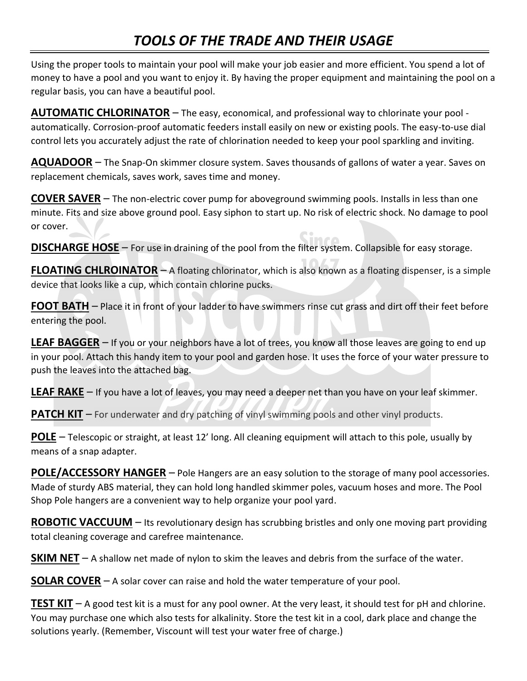## *TOOLS OF THE TRADE AND THEIR USAGE*

Using the proper tools to maintain your pool will make your job easier and more efficient. You spend a lot of money to have a pool and you want to enjoy it. By having the proper equipment and maintaining the pool on a regular basis, you can have a beautiful pool.

**AUTOMATIC CHLORINATOR** – The easy, economical, and professional way to chlorinate your pool automatically. Corrosion-proof automatic feeders install easily on new or existing pools. The easy-to-use dial control lets you accurately adjust the rate of chlorination needed to keep your pool sparkling and inviting.

**AQUADOOR** – The Snap-On skimmer closure system. Saves thousands of gallons of water a year. Saves on replacement chemicals, saves work, saves time and money.

**COVER SAVER** – The non-electric cover pump for aboveground swimming pools. Installs in less than one minute. Fits and size above ground pool. Easy siphon to start up. No risk of electric shock. No damage to pool or cover.

**DISCHARGE HOSE** – For use in draining of the pool from the filter system. Collapsible for easy storage.

**FLOATING CHLROINATOR** – A floating chlorinator, which is also known as a floating dispenser, is a simple device that looks like a cup, which contain chlorine pucks.

**FOOT BATH** – Place it in front of your ladder to have swimmers rinse cut grass and dirt off their feet before entering the pool.

**LEAF BAGGER** – If you or your neighbors have a lot of trees, you know all those leaves are going to end up in your pool. Attach this handy item to your pool and garden hose. It uses the force of your water pressure to push the leaves into the attached bag.

**LEAF RAKE** – If you have a lot of leaves, you may need a deeper net than you have on your leaf skimmer.

**PATCH KIT** – For underwater and dry patching of vinyl swimming pools and other vinyl products.

**POLE** – Telescopic or straight, at least 12' long. All cleaning equipment will attach to this pole, usually by means of a snap adapter.

**POLE/ACCESSORY HANGER** – Pole Hangers are an easy solution to the storage of many pool accessories. Made of sturdy ABS material, they can hold long handled skimmer poles, vacuum hoses and more. The Pool Shop Pole hangers are a convenient way to help organize your pool yard.

**ROBOTIC VACCUUM** – Its revolutionary design has scrubbing bristles and only one moving part providing total cleaning coverage and carefree maintenance.

**SKIM NET** – A shallow net made of nylon to skim the leaves and debris from the surface of the water.

**SOLAR COVER** – A solar cover can raise and hold the water temperature of your pool.

**TEST KIT** – A good test kit is a must for any pool owner. At the very least, it should test for pH and chlorine. You may purchase one which also tests for alkalinity. Store the test kit in a cool, dark place and change the solutions yearly. (Remember, Viscount will test your water free of charge.)